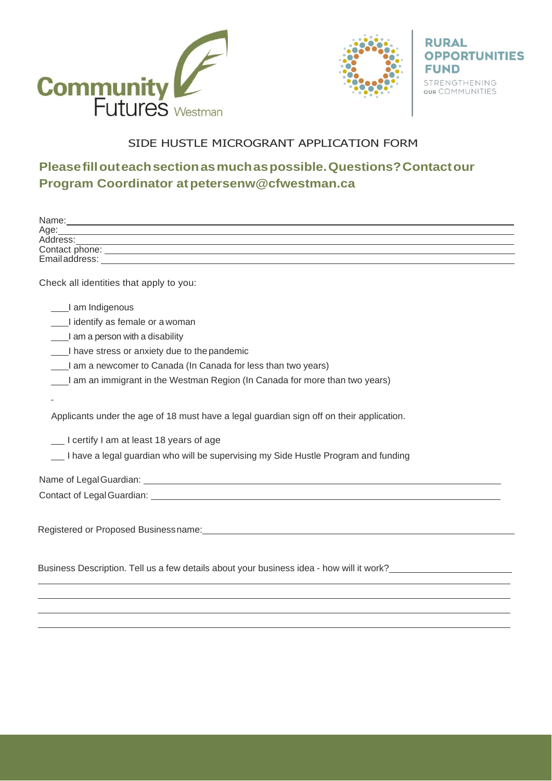



**RURAL OPPORTUNITIES FUND** STRENGTHENING<br> **OUR** COMMUNITIES

## SIDE HUSTLE MICROGRANT APPLICATION FORM

## **Pleasefillouteachsectionasmuchaspossible.Questions?Contactour Program Coordinator a[tpetersenw@cfwestman.ca](mailto:petersenw@cfwestman.ca)**

| Age:                                                                                                            |
|-----------------------------------------------------------------------------------------------------------------|
| Address:                                                                                                        |
|                                                                                                                 |
|                                                                                                                 |
| Check all identities that apply to you:                                                                         |
| I am Indigenous                                                                                                 |
| I identify as female or a woman                                                                                 |
| I am a person with a disability                                                                                 |
| I have stress or anxiety due to the pandemic                                                                    |
| I am a newcomer to Canada (In Canada for less than two years)                                                   |
| a am an immigrant in the Westman Region (In Canada for more than two years)                                     |
|                                                                                                                 |
|                                                                                                                 |
| Applicants under the age of 18 must have a legal guardian sign off on their application.                        |
| Lertify I am at least 18 years of age                                                                           |
| __ I have a legal guardian who will be supervising my Side Hustle Program and funding                           |
| Name of Legal Guardian: Name of Legal Guardian:                                                                 |
| Contact of Legal Guardian: example and a series of the series of the series of the series of the series of the  |
|                                                                                                                 |
| Registered or Proposed Business name: North and the Contract of the Contract of the Contract of the Contract of |
|                                                                                                                 |
|                                                                                                                 |
| Business Description. Tell us a few details about your business idea - how will it work?                        |
|                                                                                                                 |
|                                                                                                                 |
|                                                                                                                 |